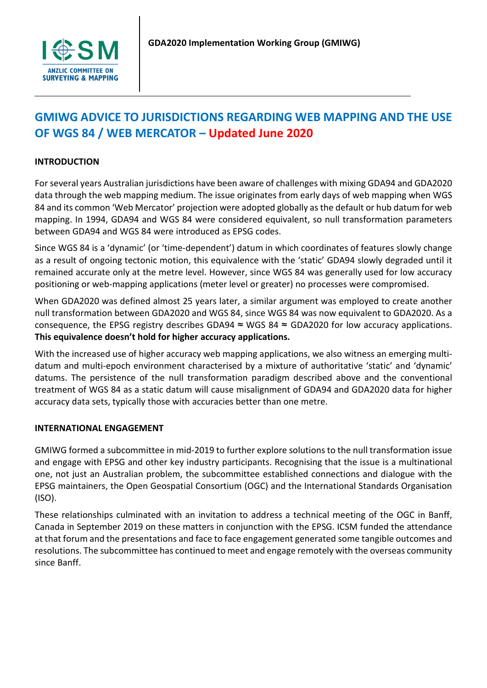

# **GMIWG ADVICE TO JURISDICTIONS REGARDING WEB MAPPING AND THE USE OF WGS 84 / WEB MERCATOR – Updated June 2020**

## **INTRODUCTION**

For several years Australian jurisdictions have been aware of challenges with mixing GDA94 and GDA2020 data through the web mapping medium. The issue originates from early days of web mapping when WGS 84 and its common 'Web Mercator' projection were adopted globally as the default or hub datum for web mapping. In 1994, GDA94 and WGS 84 were considered equivalent, so null transformation parameters between GDA94 and WGS 84 were introduced as EPSG codes.

Since WGS 84 is a 'dynamic' (or 'time-dependent') datum in which coordinates of features slowly change as a result of ongoing tectonic motion, this equivalence with the 'static' GDA94 slowly degraded until it remained accurate only at the metre level. However, since WGS 84 was generally used for low accuracy positioning or web-mapping applications (meter level or greater) no processes were compromised.

When GDA2020 was defined almost 25 years later, a similar argument was employed to create another null transformation between GDA2020 and WGS 84, since WGS 84 was now equivalent to GDA2020. As a consequence, the EPSG registry describes GDA94  $\approx$  WGS 84  $\approx$  GDA2020 for low accuracy applications. **This equivalence doesn't hold for higher accuracy applications.**

With the increased use of higher accuracy web mapping applications, we also witness an emerging multidatum and multi-epoch environment characterised by a mixture of authoritative 'static' and 'dynamic' datums. The persistence of the null transformation paradigm described above and the conventional treatment of WGS 84 as a static datum will cause misalignment of GDA94 and GDA2020 data for higher accuracy data sets, typically those with accuracies better than one metre.

## **INTERNATIONAL ENGAGEMENT**

GMIWG formed a subcommittee in mid-2019 to further explore solutions to the null transformation issue and engage with EPSG and other key industry participants. Recognising that the issue is a multinational one, not just an Australian problem, the subcommittee established connections and dialogue with the EPSG maintainers, the Open Geospatial Consortium (OGC) and the International Standards Organisation (ISO).

These relationships culminated with an invitation to address a technical meeting of the OGC in Banff, Canada in September 2019 on these matters in conjunction with the EPSG. ICSM funded the attendance at that forum and the presentations and face to face engagement generated some tangible outcomes and resolutions. The subcommittee has continued to meet and engage remotely with the overseas community since Banff.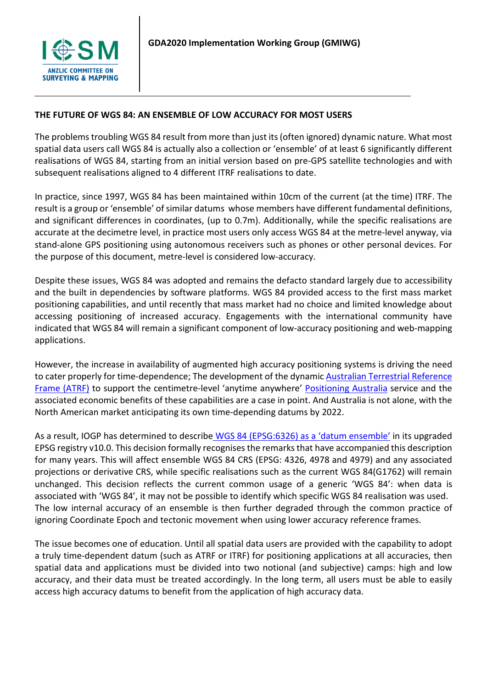

### **THE FUTURE OF WGS 84: AN ENSEMBLE OF LOW ACCURACY FOR MOST USERS**

The problems troubling WGS 84 result from more than just its (often ignored) dynamic nature. What most spatial data users call WGS 84 is actually also a collection or 'ensemble' of at least 6 significantly different realisations of WGS 84, starting from an initial version based on pre-GPS satellite technologies and with subsequent realisations aligned to 4 different ITRF realisations to date.

In practice, since 1997, WGS 84 has been maintained within 10cm of the current (at the time) ITRF. The result is a group or 'ensemble' of similar datums whose members have different fundamental definitions, and significant differences in coordinates, (up to 0.7m). Additionally, while the specific realisations are accurate at the decimetre level, in practice most users only access WGS 84 at the metre-level anyway, via stand-alone GPS positioning using autonomous receivers such as phones or other personal devices. For the purpose of this document, metre-level is considered low-accuracy.

Despite these issues, WGS 84 was adopted and remains the defacto standard largely due to accessibility and the built in dependencies by software platforms. WGS 84 provided access to the first mass market positioning capabilities, and until recently that mass market had no choice and limited knowledge about accessing positioning of increased accuracy. Engagements with the international community have indicated that WGS 84 will remain a significant component of low-accuracy positioning and web-mapping applications.

However, the increase in availability of augmented high accuracy positioning systems is driving the need to cater properly for time-dependence; The development of the dynamic **Australian Terrestrial Reference** [Frame \(ATRF\)](https://www.icsm.gov.au/australian-terrestrial-reference-frame) to support the centimetre-level 'anytime anywhere' [Positioning Australia](https://www.ga.gov.au/scientific-topics/positioning-navigation/positioning-australia) service and the associated economic benefits of these capabilities are a case in point. And Australia is not alone, with the North American market anticipating its own time-depending datums by 2022.

As a result, IOGP has determined to describe WGS 84 [\(EPSG:6326\) as a 'datum ensemble'](https://www.iogp.org/blog/epsg/upgrade-of-epsg-dataset-data-model/) in its upgraded EPSG registry v10.0. This decision formally recognises the remarks that have accompanied this description for many years. This will affect ensemble WGS 84 CRS (EPSG: 4326, 4978 and 4979) and any associated projections or derivative CRS, while specific realisations such as the current WGS 84(G1762) will remain unchanged. This decision reflects the current common usage of a generic 'WGS 84': when data is associated with 'WGS 84', it may not be possible to identify which specific WGS 84 realisation was used. The low internal accuracy of an ensemble is then further degraded through the common practice of ignoring Coordinate Epoch and tectonic movement when using lower accuracy reference frames.

The issue becomes one of education. Until all spatial data users are provided with the capability to adopt a truly time-dependent datum (such as ATRF or ITRF) for positioning applications at all accuracies, then spatial data and applications must be divided into two notional (and subjective) camps: high and low accuracy, and their data must be treated accordingly. In the long term, all users must be able to easily access high accuracy datums to benefit from the application of high accuracy data.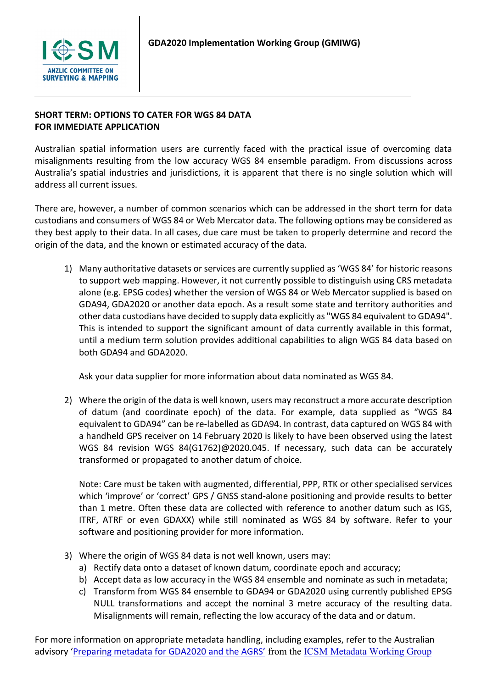

#### **SHORT TERM: OPTIONS TO CATER FOR WGS 84 DATA FOR IMMEDIATE APPLICATION**

Australian spatial information users are currently faced with the practical issue of overcoming data misalignments resulting from the low accuracy WGS 84 ensemble paradigm. From discussions across Australia's spatial industries and jurisdictions, it is apparent that there is no single solution which will address all current issues.

There are, however, a number of common scenarios which can be addressed in the short term for data custodians and consumers of WGS 84 or Web Mercator data. The following options may be considered as they best apply to their data. In all cases, due care must be taken to properly determine and record the origin of the data, and the known or estimated accuracy of the data.

1) Many authoritative datasets or services are currently supplied as 'WGS 84' for historic reasons to support web mapping. However, it not currently possible to distinguish using CRS metadata alone (e.g. EPSG codes) whether the version of WGS 84 or Web Mercator supplied is based on GDA94, GDA2020 or another data epoch. As a result some state and territory authorities and other data custodians have decided to supply data explicitly as "WGS 84 equivalent to GDA94". This is intended to support the significant amount of data currently available in this format, until a medium term solution provides additional capabilities to align WGS 84 data based on both GDA94 and GDA2020.

Ask your data supplier for more information about data nominated as WGS 84.

2) Where the origin of the data is well known, users may reconstruct a more accurate description of datum (and coordinate epoch) of the data. For example, data supplied as "WGS 84 equivalent to GDA94" can be re-labelled as GDA94. In contrast, data captured on WGS 84 with a handheld GPS receiver on 14 February 2020 is likely to have been observed using the latest WGS 84 revision WGS 84(G1762)@2020.045. If necessary, such data can be accurately transformed or propagated to another datum of choice.

Note: Care must be taken with augmented, differential, PPP, RTK or other specialised services which 'improve' or 'correct' GPS / GNSS stand-alone positioning and provide results to better than 1 metre. Often these data are collected with reference to another datum such as IGS, ITRF, ATRF or even GDAXX) while still nominated as WGS 84 by software. Refer to your software and positioning provider for more information.

- 3) Where the origin of WGS 84 data is not well known, users may:
	- a) Rectify data onto a dataset of known datum, coordinate epoch and accuracy;
	- b) Accept data as low accuracy in the WGS 84 ensemble and nominate as such in metadata;
	- c) Transform from WGS 84 ensemble to GDA94 or GDA2020 using currently published EPSG NULL transformations and accept the nominal 3 metre accuracy of the resulting data. Misalignments will remain, reflecting the low accuracy of the data and or datum.

For more information on appropriate metadata handling, including examples, refer to the Australian advisory ['Preparing metadata for GDA2020 and the AGRS'](https://www.icsm.gov.au/sites/default/files/Preparing%20metadata%20for%20the%20Australian%20Geospatial%20Reference%20System_v1.docx) from the [ICSM Metadata Working Group](https://www.icsm.gov.au/what-we-do/metadata-working-group)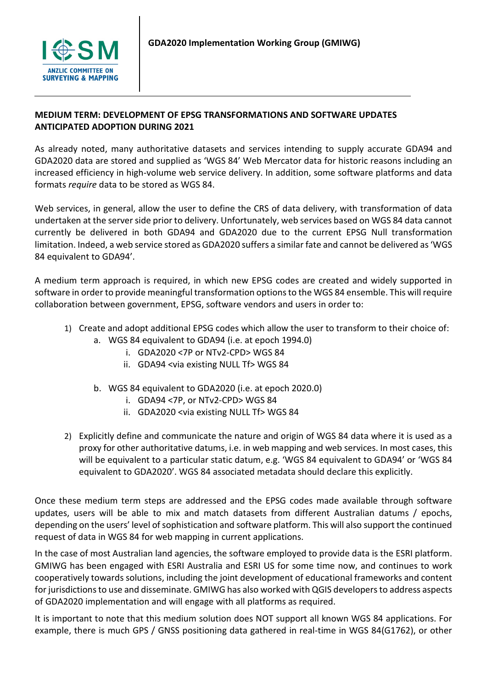

## **MEDIUM TERM: DEVELOPMENT OF EPSG TRANSFORMATIONS AND SOFTWARE UPDATES ANTICIPATED ADOPTION DURING 2021**

As already noted, many authoritative datasets and services intending to supply accurate GDA94 and GDA2020 data are stored and supplied as 'WGS 84' Web Mercator data for historic reasons including an increased efficiency in high-volume web service delivery. In addition, some software platforms and data formats *require* data to be stored as WGS 84.

Web services, in general, allow the user to define the CRS of data delivery, with transformation of data undertaken at the server side prior to delivery. Unfortunately, web services based on WGS 84 data cannot currently be delivered in both GDA94 and GDA2020 due to the current EPSG Null transformation limitation. Indeed, a web service stored as GDA2020 suffers a similar fate and cannot be delivered as 'WGS 84 equivalent to GDA94'.

A medium term approach is required, in which new EPSG codes are created and widely supported in software in order to provide meaningful transformation options to the WGS 84 ensemble. This will require collaboration between government, EPSG, software vendors and users in order to:

- 1) Create and adopt additional EPSG codes which allow the user to transform to their choice of:
	- a. WGS 84 equivalent to GDA94 (i.e. at epoch 1994.0)
		- i. GDA2020 <7P or NTv2-CPD> WGS 84
		- ii. GDA94 <via existing NULL Tf> WGS 84
	- b. WGS 84 equivalent to GDA2020 (i.e. at epoch 2020.0)
		- i. GDA94 <7P, or NTv2-CPD> WGS 84
		- ii. GDA2020 <via existing NULL Tf> WGS 84
- 2) Explicitly define and communicate the nature and origin of WGS 84 data where it is used as a proxy for other authoritative datums, i.e. in web mapping and web services. In most cases, this will be equivalent to a particular static datum, e.g. 'WGS 84 equivalent to GDA94' or 'WGS 84 equivalent to GDA2020'. WGS 84 associated metadata should declare this explicitly.

Once these medium term steps are addressed and the EPSG codes made available through software updates, users will be able to mix and match datasets from different Australian datums / epochs, depending on the users' level of sophistication and software platform. This will also support the continued request of data in WGS 84 for web mapping in current applications.

In the case of most Australian land agencies, the software employed to provide data is the ESRI platform. GMIWG has been engaged with ESRI Australia and ESRI US for some time now, and continues to work cooperatively towards solutions, including the joint development of educational frameworks and content for jurisdictions to use and disseminate. GMIWG has also worked with QGIS developers to address aspects of GDA2020 implementation and will engage with all platforms as required.

It is important to note that this medium solution does NOT support all known WGS 84 applications. For example, there is much GPS / GNSS positioning data gathered in real-time in WGS 84(G1762), or other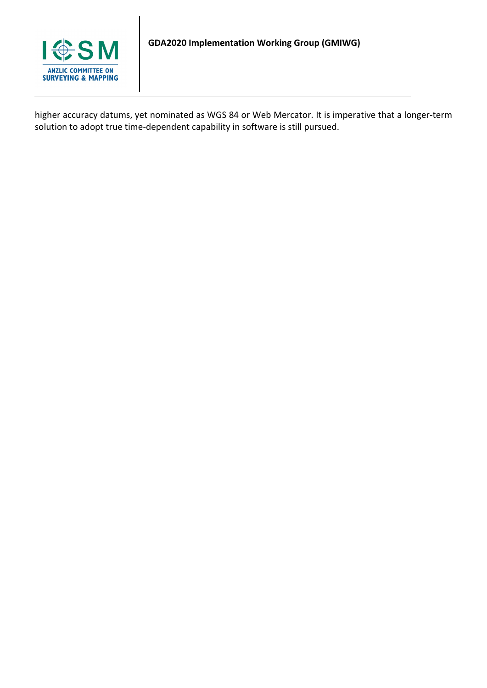

higher accuracy datums, yet nominated as WGS 84 or Web Mercator. It is imperative that a longer-term solution to adopt true time-dependent capability in software is still pursued.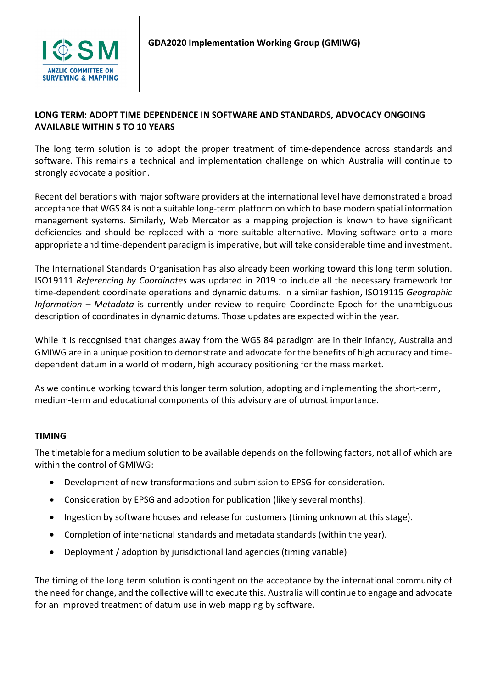

## **LONG TERM: ADOPT TIME DEPENDENCE IN SOFTWARE AND STANDARDS, ADVOCACY ONGOING AVAILABLE WITHIN 5 TO 10 YEARS**

The long term solution is to adopt the proper treatment of time-dependence across standards and software. This remains a technical and implementation challenge on which Australia will continue to strongly advocate a position.

Recent deliberations with major software providers at the international level have demonstrated a broad acceptance that WGS 84 is not a suitable long-term platform on which to base modern spatial information management systems. Similarly, Web Mercator as a mapping projection is known to have significant deficiencies and should be replaced with a more suitable alternative. Moving software onto a more appropriate and time-dependent paradigm is imperative, but will take considerable time and investment.

The International Standards Organisation has also already been working toward this long term solution. ISO19111 *Referencing by Coordinates* was updated in 2019 to include all the necessary framework for time-dependent coordinate operations and dynamic datums. In a similar fashion, ISO19115 *Geographic Information – Metadata* is currently under review to require Coordinate Epoch for the unambiguous description of coordinates in dynamic datums. Those updates are expected within the year.

While it is recognised that changes away from the WGS 84 paradigm are in their infancy, Australia and GMIWG are in a unique position to demonstrate and advocate for the benefits of high accuracy and timedependent datum in a world of modern, high accuracy positioning for the mass market.

As we continue working toward this longer term solution, adopting and implementing the short-term, medium-term and educational components of this advisory are of utmost importance.

## **TIMING**

The timetable for a medium solution to be available depends on the following factors, not all of which are within the control of GMIWG:

- Development of new transformations and submission to EPSG for consideration.
- Consideration by EPSG and adoption for publication (likely several months).
- Ingestion by software houses and release for customers (timing unknown at this stage).
- Completion of international standards and metadata standards (within the year).
- Deployment / adoption by jurisdictional land agencies (timing variable)

The timing of the long term solution is contingent on the acceptance by the international community of the need for change, and the collective will to execute this. Australia will continue to engage and advocate for an improved treatment of datum use in web mapping by software.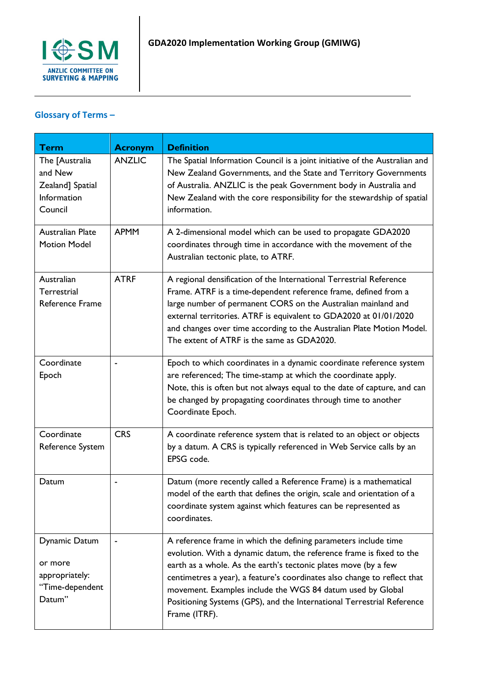

## **Glossary of Terms –**

| <b>Term</b>                                                             | <b>Acronym</b> | <b>Definition</b>                                                                                                                                                                                                                                                                                                                                                                                                                               |
|-------------------------------------------------------------------------|----------------|-------------------------------------------------------------------------------------------------------------------------------------------------------------------------------------------------------------------------------------------------------------------------------------------------------------------------------------------------------------------------------------------------------------------------------------------------|
| The [Australia<br>and New<br>Zealand] Spatial<br>Information<br>Council | <b>ANZLIC</b>  | The Spatial Information Council is a joint initiative of the Australian and<br>New Zealand Governments, and the State and Territory Governments<br>of Australia. ANZLIC is the peak Government body in Australia and<br>New Zealand with the core responsibility for the stewardship of spatial<br>information.                                                                                                                                 |
| <b>Australian Plate</b><br><b>Motion Model</b>                          | <b>APMM</b>    | A 2-dimensional model which can be used to propagate GDA2020<br>coordinates through time in accordance with the movement of the<br>Australian tectonic plate, to ATRF.                                                                                                                                                                                                                                                                          |
| Australian<br>Terrestrial<br>Reference Frame                            | <b>ATRF</b>    | A regional densification of the International Terrestrial Reference<br>Frame. ATRF is a time-dependent reference frame, defined from a<br>large number of permanent CORS on the Australian mainland and<br>external territories. ATRF is equivalent to GDA2020 at 01/01/2020<br>and changes over time according to the Australian Plate Motion Model.<br>The extent of ATRF is the same as GDA2020.                                             |
| Coordinate<br>Epoch                                                     |                | Epoch to which coordinates in a dynamic coordinate reference system<br>are referenced; The time-stamp at which the coordinate apply.<br>Note, this is often but not always equal to the date of capture, and can<br>be changed by propagating coordinates through time to another<br>Coordinate Epoch.                                                                                                                                          |
| Coordinate<br>Reference System                                          | <b>CRS</b>     | A coordinate reference system that is related to an object or objects<br>by a datum. A CRS is typically referenced in Web Service calls by an<br>EPSG code.                                                                                                                                                                                                                                                                                     |
| Datum                                                                   |                | Datum (more recently called a Reference Frame) is a mathematical<br>model of the earth that defines the origin, scale and orientation of a<br>coordinate system against which features can be represented as<br>coordinates.                                                                                                                                                                                                                    |
| Dynamic Datum<br>or more<br>appropriately:<br>"Time-dependent<br>Datum" |                | A reference frame in which the defining parameters include time<br>evolution. With a dynamic datum, the reference frame is fixed to the<br>earth as a whole. As the earth's tectonic plates move (by a few<br>centimetres a year), a feature's coordinates also change to reflect that<br>movement. Examples include the WGS 84 datum used by Global<br>Positioning Systems (GPS), and the International Terrestrial Reference<br>Frame (ITRF). |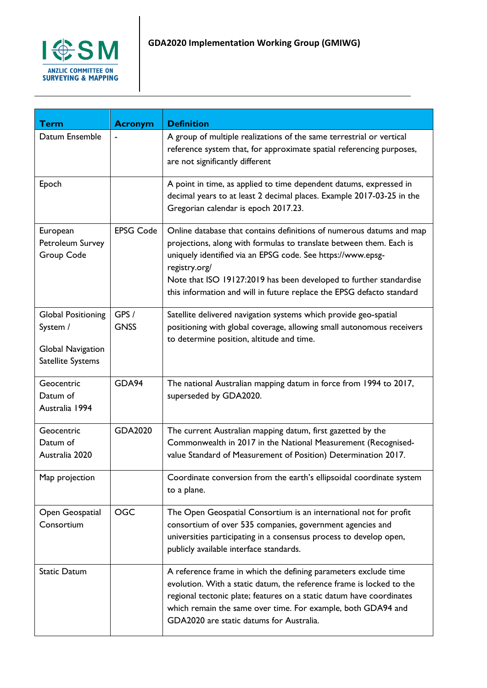

| <b>Term</b>                                                                            | <b>Acronym</b>       | <b>Definition</b>                                                                                                                                                                                                                                                                                                                                                          |
|----------------------------------------------------------------------------------------|----------------------|----------------------------------------------------------------------------------------------------------------------------------------------------------------------------------------------------------------------------------------------------------------------------------------------------------------------------------------------------------------------------|
| Datum Ensemble                                                                         |                      | A group of multiple realizations of the same terrestrial or vertical<br>reference system that, for approximate spatial referencing purposes,<br>are not significantly different                                                                                                                                                                                            |
| Epoch                                                                                  |                      | A point in time, as applied to time dependent datums, expressed in<br>decimal years to at least 2 decimal places. Example 2017-03-25 in the<br>Gregorian calendar is epoch 2017.23.                                                                                                                                                                                        |
| European<br>Petroleum Survey<br>Group Code                                             | <b>EPSG Code</b>     | Online database that contains definitions of numerous datums and map<br>projections, along with formulas to translate between them. Each is<br>uniquely identified via an EPSG code. See https://www.epsg-<br>registry.org/<br>Note that ISO 19127:2019 has been developed to further standardise<br>this information and will in future replace the EPSG defacto standard |
| <b>Global Positioning</b><br>System /<br><b>Global Navigation</b><br>Satellite Systems | GPS /<br><b>GNSS</b> | Satellite delivered navigation systems which provide geo-spatial<br>positioning with global coverage, allowing small autonomous receivers<br>to determine position, altitude and time.                                                                                                                                                                                     |
| Geocentric<br>Datum of<br>Australia 1994                                               | GDA94                | The national Australian mapping datum in force from 1994 to 2017,<br>superseded by GDA2020.                                                                                                                                                                                                                                                                                |
| Geocentric<br>Datum of<br>Australia 2020                                               | GDA2020              | The current Australian mapping datum, first gazetted by the<br>Commonwealth in 2017 in the National Measurement (Recognised-<br>value Standard of Measurement of Position) Determination 2017.                                                                                                                                                                             |
| Map projection                                                                         |                      | Coordinate conversion from the earth's ellipsoidal coordinate system<br>to a plane.                                                                                                                                                                                                                                                                                        |
| Open Geospatial<br>Consortium                                                          | <b>OGC</b>           | The Open Geospatial Consortium is an international not for profit<br>consortium of over 535 companies, government agencies and<br>universities participating in a consensus process to develop open,<br>publicly available interface standards.                                                                                                                            |
| <b>Static Datum</b>                                                                    |                      | A reference frame in which the defining parameters exclude time<br>evolution. With a static datum, the reference frame is locked to the<br>regional tectonic plate; features on a static datum have coordinates<br>which remain the same over time. For example, both GDA94 and<br>GDA2020 are static datums for Australia.                                                |